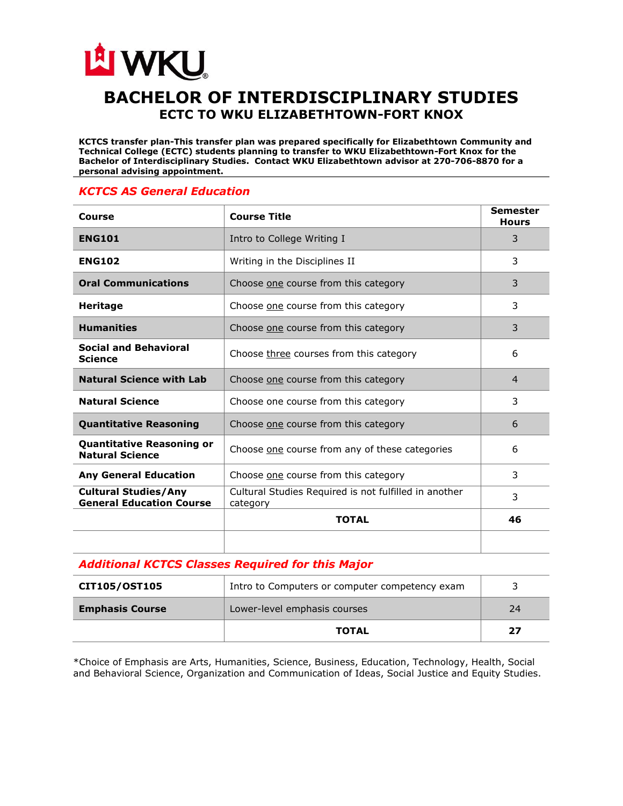## LA WKU **BACHELOR OF INTERDISCIPLINARY STUDIES ECTC TO WKU ELIZABETHTOWN-FORT KNOX**

**KCTCS transfer plan-This transfer plan was prepared specifically for Elizabethtown Community and Technical College (ECTC) students planning to transfer to WKU Elizabethtown-Fort Knox for the Bachelor of Interdisciplinary Studies. Contact WKU Elizabethtown advisor at 270-706-8870 for a personal advising appointment.** 

## *KCTCS AS General Education*

| Course                                                         | <b>Course Title</b>                                               | <b>Semester</b><br><b>Hours</b> |
|----------------------------------------------------------------|-------------------------------------------------------------------|---------------------------------|
| <b>ENG101</b>                                                  | Intro to College Writing I                                        | 3                               |
| <b>ENG102</b>                                                  | Writing in the Disciplines II                                     | 3                               |
| <b>Oral Communications</b>                                     | Choose one course from this category                              | 3                               |
| <b>Heritage</b>                                                | Choose one course from this category                              | 3                               |
| <b>Humanities</b>                                              | Choose one course from this category                              | 3                               |
| <b>Social and Behavioral</b><br><b>Science</b>                 | Choose three courses from this category                           | 6                               |
| <b>Natural Science with Lab</b>                                | Choose one course from this category                              | $\overline{4}$                  |
| <b>Natural Science</b>                                         | Choose one course from this category                              | 3                               |
| <b>Quantitative Reasoning</b>                                  | Choose one course from this category                              | 6                               |
| <b>Quantitative Reasoning or</b><br><b>Natural Science</b>     | Choose one course from any of these categories                    | 6                               |
| <b>Any General Education</b>                                   | Choose one course from this category                              | 3                               |
| <b>Cultural Studies/Any</b><br><b>General Education Course</b> | Cultural Studies Required is not fulfilled in another<br>category | 3                               |
|                                                                | <b>TOTAL</b>                                                      | 46                              |
|                                                                |                                                                   |                                 |

## *Additional KCTCS Classes Required for this Major*

| <b>CIT105/OST105</b>   | Intro to Computers or computer competency exam |    |
|------------------------|------------------------------------------------|----|
| <b>Emphasis Course</b> | Lower-level emphasis courses                   | 24 |
|                        | <b>TOTAL</b>                                   | 27 |

\*Choice of Emphasis are Arts, Humanities, Science, Business, Education, Technology, Health, Social and Behavioral Science, Organization and Communication of Ideas, Social Justice and Equity Studies.